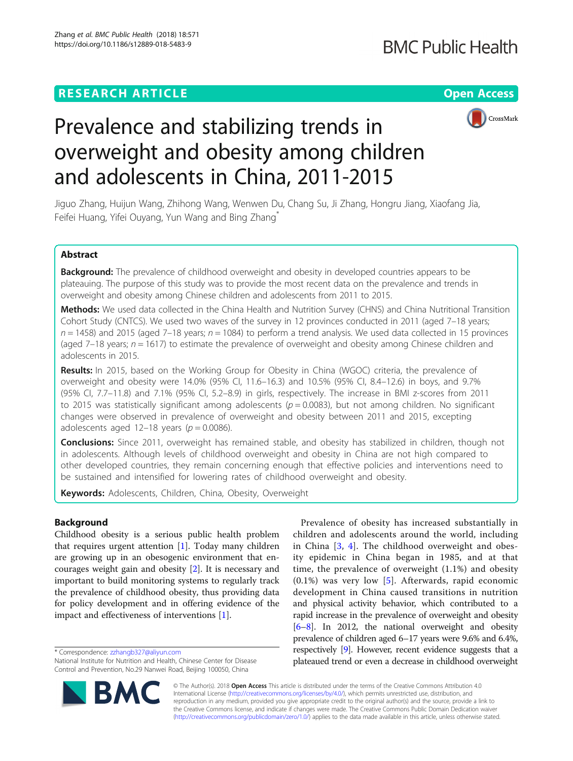# **RESEARCH ARTICLE Example 2014 CONSUMING A RESEARCH ARTICLE**



# Prevalence and stabilizing trends in overweight and obesity among children and adolescents in China, 2011-2015

Jiguo Zhang, Huijun Wang, Zhihong Wang, Wenwen Du, Chang Su, Ji Zhang, Hongru Jiang, Xiaofang Jia, Feifei Huang, Yifei Ouyang, Yun Wang and Bing Zhang\*

# Abstract

**Background:** The prevalence of childhood overweight and obesity in developed countries appears to be plateauing. The purpose of this study was to provide the most recent data on the prevalence and trends in overweight and obesity among Chinese children and adolescents from 2011 to 2015.

Methods: We used data collected in the China Health and Nutrition Survey (CHNS) and China Nutritional Transition Cohort Study (CNTCS). We used two waves of the survey in 12 provinces conducted in 2011 (aged 7–18 years;  $n = 1458$ ) and 2015 (aged 7–18 years;  $n = 1084$ ) to perform a trend analysis. We used data collected in 15 provinces (aged  $7-18$  years;  $n = 1617$ ) to estimate the prevalence of overweight and obesity among Chinese children and adolescents in 2015.

Results: In 2015, based on the Working Group for Obesity in China (WGOC) criteria, the prevalence of overweight and obesity were 14.0% (95% CI, 11.6–16.3) and 10.5% (95% CI, 8.4–12.6) in boys, and 9.7% (95% CI, 7.7–11.8) and 7.1% (95% CI, 5.2–8.9) in girls, respectively. The increase in BMI z-scores from 2011 to 2015 was statistically significant among adolescents ( $p = 0.0083$ ), but not among children. No significant changes were observed in prevalence of overweight and obesity between 2011 and 2015, excepting adolescents aged 12–18 years ( $p = 0.0086$ ).

**Conclusions:** Since 2011, overweight has remained stable, and obesity has stabilized in children, though not in adolescents. Although levels of childhood overweight and obesity in China are not high compared to other developed countries, they remain concerning enough that effective policies and interventions need to be sustained and intensified for lowering rates of childhood overweight and obesity.

Keywords: Adolescents, Children, China, Obesity, Overweight

# Background

Childhood obesity is a serious public health problem that requires urgent attention [\[1](#page-5-0)]. Today many children are growing up in an obesogenic environment that encourages weight gain and obesity [\[2](#page-5-0)]. It is necessary and important to build monitoring systems to regularly track the prevalence of childhood obesity, thus providing data for policy development and in offering evidence of the impact and effectiveness of interventions [\[1](#page-5-0)].

\* Correspondence: [zzhangb327@aliyun.com](mailto:zzhangb327@aliyun.com)

National Institute for Nutrition and Health, Chinese Center for Disease Control and Prevention, No.29 Nanwei Road, Beijing 100050, China





© The Author(s). 2018 Open Access This article is distributed under the terms of the Creative Commons Attribution 4.0 International License [\(http://creativecommons.org/licenses/by/4.0/](http://creativecommons.org/licenses/by/4.0/)), which permits unrestricted use, distribution, and reproduction in any medium, provided you give appropriate credit to the original author(s) and the source, provide a link to the Creative Commons license, and indicate if changes were made. The Creative Commons Public Domain Dedication waiver [\(http://creativecommons.org/publicdomain/zero/1.0/](http://creativecommons.org/publicdomain/zero/1.0/)) applies to the data made available in this article, unless otherwise stated.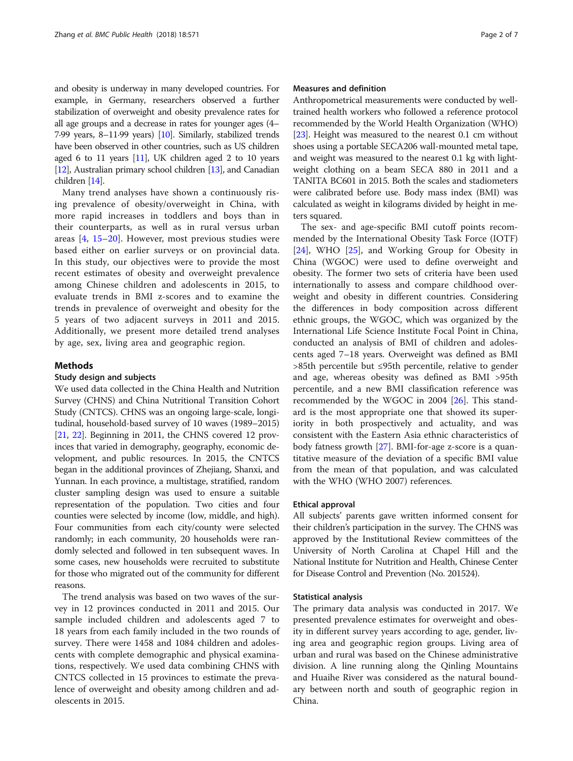and obesity is underway in many developed countries. For example, in Germany, researchers observed a further stabilization of overweight and obesity prevalence rates for all age groups and a decrease in rates for younger ages (4– 7·99 years, 8–11·99 years) [\[10\]](#page-5-0). Similarly, stabilized trends have been observed in other countries, such as US children aged 6 to 11 years [\[11](#page-5-0)], UK children aged 2 to 10 years [[12](#page-5-0)], Australian primary school children [\[13\]](#page-5-0), and Canadian children [\[14\]](#page-5-0).

Many trend analyses have shown a continuously rising prevalence of obesity/overweight in China, with more rapid increases in toddlers and boys than in their counterparts, as well as in rural versus urban areas [[4](#page-5-0), [15](#page-5-0)–[20](#page-6-0)]. However, most previous studies were based either on earlier surveys or on provincial data. In this study, our objectives were to provide the most recent estimates of obesity and overweight prevalence among Chinese children and adolescents in 2015, to evaluate trends in BMI z-scores and to examine the trends in prevalence of overweight and obesity for the 5 years of two adjacent surveys in 2011 and 2015. Additionally, we present more detailed trend analyses by age, sex, living area and geographic region.

# Methods

# Study design and subjects

We used data collected in the China Health and Nutrition Survey (CHNS) and China Nutritional Transition Cohort Study (CNTCS). CHNS was an ongoing large-scale, longitudinal, household-based survey of 10 waves (1989–2015) [[21](#page-6-0), [22\]](#page-6-0). Beginning in 2011, the CHNS covered 12 provinces that varied in demography, geography, economic development, and public resources. In 2015, the CNTCS began in the additional provinces of Zhejiang, Shanxi, and Yunnan. In each province, a multistage, stratified, random cluster sampling design was used to ensure a suitable representation of the population. Two cities and four counties were selected by income (low, middle, and high). Four communities from each city/county were selected randomly; in each community, 20 households were randomly selected and followed in ten subsequent waves. In some cases, new households were recruited to substitute for those who migrated out of the community for different reasons.

The trend analysis was based on two waves of the survey in 12 provinces conducted in 2011 and 2015. Our sample included children and adolescents aged 7 to 18 years from each family included in the two rounds of survey. There were 1458 and 1084 children and adolescents with complete demographic and physical examinations, respectively. We used data combining CHNS with CNTCS collected in 15 provinces to estimate the prevalence of overweight and obesity among children and adolescents in 2015.

# Measures and definition

Anthropometrical measurements were conducted by welltrained health workers who followed a reference protocol recommended by the World Health Organization (WHO) [[23](#page-6-0)]. Height was measured to the nearest 0.1 cm without shoes using a portable SECA206 wall-mounted metal tape, and weight was measured to the nearest 0.1 kg with lightweight clothing on a beam SECA 880 in 2011 and a TANITA BC601 in 2015. Both the scales and stadiometers were calibrated before use. Body mass index (BMI) was calculated as weight in kilograms divided by height in meters squared.

The sex- and age-specific BMI cutoff points recommended by the International Obesity Task Force (IOTF) [[24\]](#page-6-0), WHO [\[25](#page-6-0)], and Working Group for Obesity in China (WGOC) were used to define overweight and obesity. The former two sets of criteria have been used internationally to assess and compare childhood overweight and obesity in different countries. Considering the differences in body composition across different ethnic groups, the WGOC, which was organized by the International Life Science Institute Focal Point in China, conducted an analysis of BMI of children and adolescents aged 7–18 years. Overweight was defined as BMI >85th percentile but ≤95th percentile, relative to gender and age, whereas obesity was defined as BMI >95th percentile, and a new BMI classification reference was recommended by the WGOC in 2004 [[26\]](#page-6-0). This standard is the most appropriate one that showed its superiority in both prospectively and actuality, and was consistent with the Eastern Asia ethnic characteristics of body fatness growth [[27\]](#page-6-0). BMI-for-age z-score is a quantitative measure of the deviation of a specific BMI value from the mean of that population, and was calculated with the WHO (WHO 2007) references.

# Ethical approval

All subjects' parents gave written informed consent for their children's participation in the survey. The CHNS was approved by the Institutional Review committees of the University of North Carolina at Chapel Hill and the National Institute for Nutrition and Health, Chinese Center for Disease Control and Prevention (No. 201524).

# Statistical analysis

The primary data analysis was conducted in 2017. We presented prevalence estimates for overweight and obesity in different survey years according to age, gender, living area and geographic region groups. Living area of urban and rural was based on the Chinese administrative division. A line running along the Qinling Mountains and Huaihe River was considered as the natural boundary between north and south of geographic region in China.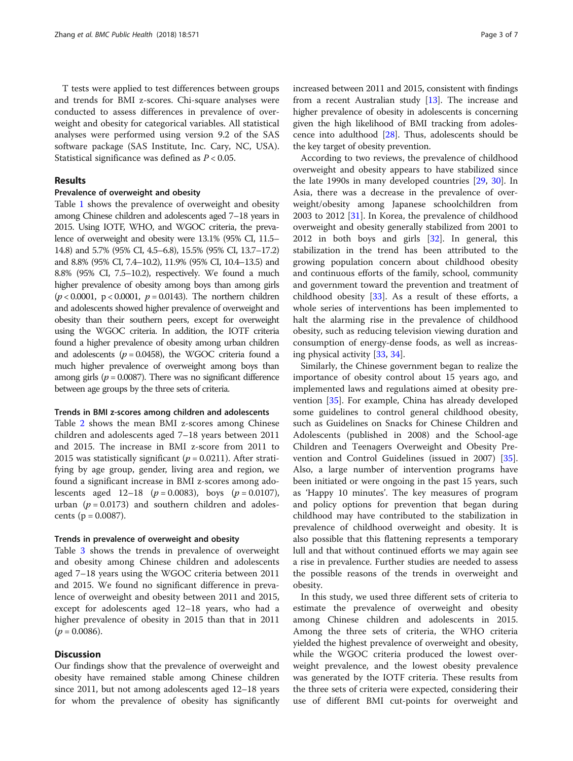T tests were applied to test differences between groups and trends for BMI z-scores. Chi-square analyses were conducted to assess differences in prevalence of overweight and obesity for categorical variables. All statistical analyses were performed using version 9.2 of the SAS software package (SAS Institute, Inc. Cary, NC, USA). Statistical significance was defined as  $P < 0.05$ .

# Results

# Prevalence of overweight and obesity

Table [1](#page-3-0) shows the prevalence of overweight and obesity among Chinese children and adolescents aged 7–18 years in 2015. Using IOTF, WHO, and WGOC criteria, the prevalence of overweight and obesity were 13.1% (95% CI, 11.5– 14.8) and 5.7% (95% CI, 4.5–6.8), 15.5% (95% CI, 13.7–17.2) and 8.8% (95% CI, 7.4–10.2), 11.9% (95% CI, 10.4–13.5) and 8.8% (95% CI, 7.5–10.2), respectively. We found a much higher prevalence of obesity among boys than among girls  $(p < 0.0001, p < 0.0001, p = 0.0143)$ . The northern children and adolescents showed higher prevalence of overweight and obesity than their southern peers, except for overweight using the WGOC criteria. In addition, the IOTF criteria found a higher prevalence of obesity among urban children and adolescents ( $p = 0.0458$ ), the WGOC criteria found a much higher prevalence of overweight among boys than among girls ( $p = 0.0087$ ). There was no significant difference between age groups by the three sets of criteria.

# Trends in BMI z-scores among children and adolescents

Table [2](#page-4-0) shows the mean BMI z-scores among Chinese children and adolescents aged 7–18 years between 2011 and 2015. The increase in BMI z-score from 2011 to 2015 was statistically significant ( $p = 0.0211$ ). After stratifying by age group, gender, living area and region, we found a significant increase in BMI z-scores among adolescents aged  $12-18$  ( $p = 0.0083$ ), boys ( $p = 0.0107$ ), urban ( $p = 0.0173$ ) and southern children and adolescents ( $p = 0.0087$ ).

# Trends in prevalence of overweight and obesity

Table [3](#page-4-0) shows the trends in prevalence of overweight and obesity among Chinese children and adolescents aged 7–18 years using the WGOC criteria between 2011 and 2015. We found no significant difference in prevalence of overweight and obesity between 2011 and 2015, except for adolescents aged 12–18 years, who had a higher prevalence of obesity in 2015 than that in 2011  $(p = 0.0086)$ .

# **Discussion**

Our findings show that the prevalence of overweight and obesity have remained stable among Chinese children since 2011, but not among adolescents aged 12–18 years for whom the prevalence of obesity has significantly increased between 2011 and 2015, consistent with findings from a recent Australian study [\[13\]](#page-5-0). The increase and higher prevalence of obesity in adolescents is concerning given the high likelihood of BMI tracking from adolescence into adulthood [[28](#page-6-0)]. Thus, adolescents should be the key target of obesity prevention.

According to two reviews, the prevalence of childhood overweight and obesity appears to have stabilized since the late 1990s in many developed countries [\[29,](#page-6-0) [30\]](#page-6-0). In Asia, there was a decrease in the prevalence of overweight/obesity among Japanese schoolchildren from 2003 to 2012 [[31\]](#page-6-0). In Korea, the prevalence of childhood overweight and obesity generally stabilized from 2001 to 2012 in both boys and girls [\[32\]](#page-6-0). In general, this stabilization in the trend has been attributed to the growing population concern about childhood obesity and continuous efforts of the family, school, community and government toward the prevention and treatment of childhood obesity  $[33]$  $[33]$ . As a result of these efforts, a whole series of interventions has been implemented to halt the alarming rise in the prevalence of childhood obesity, such as reducing television viewing duration and consumption of energy-dense foods, as well as increasing physical activity [\[33,](#page-6-0) [34\]](#page-6-0).

Similarly, the Chinese government began to realize the importance of obesity control about 15 years ago, and implemented laws and regulations aimed at obesity prevention [\[35](#page-6-0)]. For example, China has already developed some guidelines to control general childhood obesity, such as Guidelines on Snacks for Chinese Children and Adolescents (published in 2008) and the School-age Children and Teenagers Overweight and Obesity Prevention and Control Guidelines (issued in 2007) [\[35](#page-6-0)]. Also, a large number of intervention programs have been initiated or were ongoing in the past 15 years, such as 'Happy 10 minutes'. The key measures of program and policy options for prevention that began during childhood may have contributed to the stabilization in prevalence of childhood overweight and obesity. It is also possible that this flattening represents a temporary lull and that without continued efforts we may again see a rise in prevalence. Further studies are needed to assess the possible reasons of the trends in overweight and obesity.

In this study, we used three different sets of criteria to estimate the prevalence of overweight and obesity among Chinese children and adolescents in 2015. Among the three sets of criteria, the WHO criteria yielded the highest prevalence of overweight and obesity, while the WGOC criteria produced the lowest overweight prevalence, and the lowest obesity prevalence was generated by the IOTF criteria. These results from the three sets of criteria were expected, considering their use of different BMI cut-points for overweight and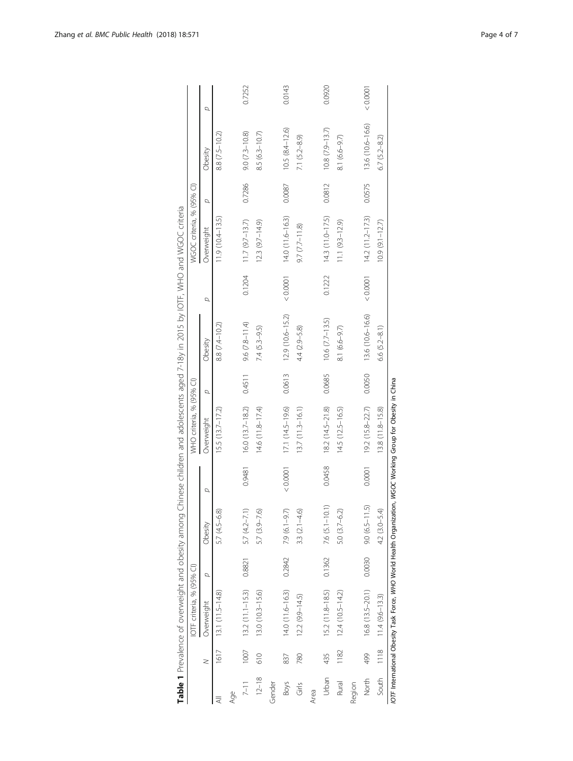<span id="page-3-0"></span>

|             |      | Table 1 Prevalence of overweight and obesity among                                                            |        |                           |        |                          |        | Chinese children and adolescents aged 7-18y in 2015 by IOTF, WHO and WGOC criteria |          |                           |        |                    |        |
|-------------|------|---------------------------------------------------------------------------------------------------------------|--------|---------------------------|--------|--------------------------|--------|------------------------------------------------------------------------------------|----------|---------------------------|--------|--------------------|--------|
|             |      | IOTF criteria, % (95% CI)                                                                                     |        |                           |        | WHO criteria, % (95% CI) |        |                                                                                    |          | WGOC criteria, % (95% CI) |        |                    |        |
|             | z    | Overweight                                                                                                    | D      | Obesity                   | d      | Overweight               | Q      | Obesity                                                                            | d        | Overweight                | σ      | Obesity            | σ      |
|             | 1617 | $13.1(11.5-14.8)$                                                                                             |        | 5.7 (4.5-6.8)             |        | $15.5(13.7 - 17.2)$      |        | 8.8 (7.4-10.2)                                                                     |          | $11.9(10.4 - 13.5)$       |        | 8.8 (7.5-10.2)     |        |
| Age         |      |                                                                                                               |        |                           |        |                          |        |                                                                                    |          |                           |        |                    |        |
| $7 - 11$    | 1007 | $13.2(11.1 - 15.3)$                                                                                           | 0.8821 | $5.7(4.2 - 7.1)$          | 0.9481 | $16.0(13.7 - 18.2)$      | 0.4511 | $9.6 (7.8 - 11.4)$                                                                 | 0.1204   | $11.7(9.7-13.7)$          | 0.7286 | $9.0 (7.3 - 10.8)$ | 0.7252 |
| $12 - 18$   | 610  | 13.0 (10.3-15.6)                                                                                              |        | 5.7 (3.9–7.6)             |        | $14.6(11.8 - 17.4)$      |        | $7.4 (5.3 - 9.5)$                                                                  |          | $12.3(9.7 - 14.9)$        |        | 8.5 (6.3-10.7)     |        |
| Gender      |      |                                                                                                               |        |                           |        |                          |        |                                                                                    |          |                           |        |                    |        |
| <b>Boys</b> | 837  | $14.0(11.6-16.3)$                                                                                             | 0.2842 | 7.9 (6.1-9.7)             | 0.0001 | $17.1(14.5-19.6)$        | 0.0613 | $12.9(10.6 - 15.2)$                                                                | < 0.0001 | $14.0(11.6 - 16.3)$       | 0.0087 | $10.5(8.4 - 12.6)$ | 0.0143 |
| Girls       | 780  | $12.2 (9.9 - 14.5)$                                                                                           |        | $3.3 (2.1 - 4.6)$         |        | 13.7 (11.3-16.1)         |        | 4.4 (2.9–5.8)                                                                      |          | $9.7 (7.7 - 11.8)$        |        | 7.1 $(5.2 - 8.9)$  |        |
| Area        |      |                                                                                                               |        |                           |        |                          |        |                                                                                    |          |                           |        |                    |        |
| Urban       | 435  | 15.2 (11.8-18.5)                                                                                              |        | $0.1362$ 7.6 $(5.1-10.1)$ | 0.0458 | 18.2 (14.5-21.8)         | 0.0685 | $10.6 (7.7 - 13.5)$                                                                | 0.1222   | $14.3(11.0 - 17.5)$       | 0.0812 | $10.8(7.9 - 13.7)$ | 0.0920 |
| Rural       | 1182 | $12.4(10.5 - 14.2)$                                                                                           |        | $5.0(3.7 - 6.2)$          |        | 14.5 (12.5-16.5)         |        | $8.1(6.6 - 9.7)$                                                                   |          | $11.1 (9.3 - 12.9)$       |        | 8.1 (6.6-9.7)      |        |
| Region      |      |                                                                                                               |        |                           |        |                          |        |                                                                                    |          |                           |        |                    |        |
| North       | 499  | 16.8 (13.5-20.1)                                                                                              | 0.0030 | 6<br>$9.0(6.5-11)$        | 0.0001 | 192 (15.8-22.7)          | 0.0050 | 13.6 (10.6-16.6)                                                                   | < 0.0001 | $14.2(11.2 - 17.3)$       | 0.0575 | 13.6 (10.6-16.6)   | 0.0001 |
| South       | 1118 | $11.4(9.6-13.3)$                                                                                              |        | 4.2 (3.0–5.4              |        | 13.8 (11.8-15.8)         |        | 6.6 $(5.2 - 8.1)$                                                                  |          | $10.9(9.1 - 12.7)$        |        | $6.7 (5.2 - 8.2)$  |        |
|             |      | IOTF International Obesity Task Force, WHO World Health Organization, WGOC Working Group for Obesity in China |        |                           |        |                          |        |                                                                                    |          |                           |        |                    |        |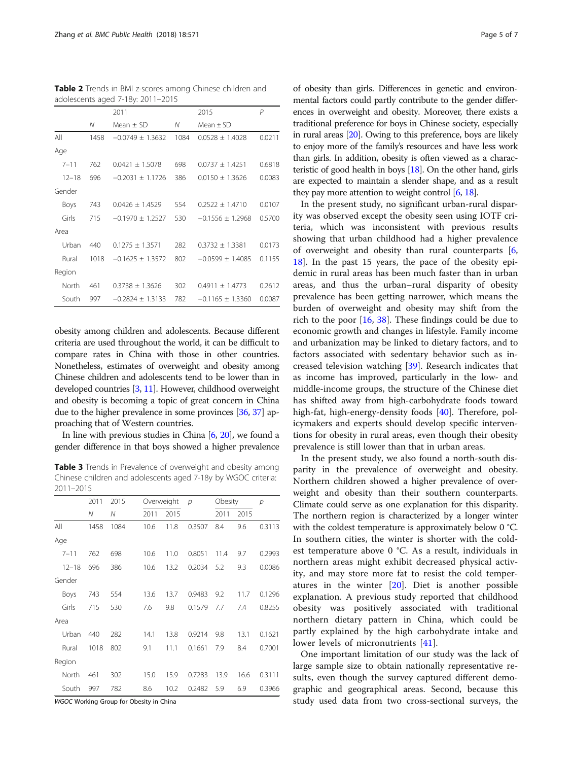<span id="page-4-0"></span>Table 2 Trends in BMI z-scores among Chinese children and adolescents aged 7-18y: 2011–2015

|           |      | 2011                 |      | 2015                 | P      |
|-----------|------|----------------------|------|----------------------|--------|
|           | N    | Mean $\pm$ SD        | Ν    | Mean $\pm$ SD        |        |
| All       | 1458 | $-0.0749 + 1.3632$   | 1084 | $0.0528 + 1.4028$    | 0.0211 |
| Age       |      |                      |      |                      |        |
| $7 - 11$  | 762  | $0.0421 \pm 1.5078$  | 698  | $0.0737 + 1.4251$    | 0.6818 |
| $12 - 18$ | 696  | $-0.2031 + 1.1726$   | 386  | $0.0150 \pm 1.3626$  | 0.0083 |
| Gender    |      |                      |      |                      |        |
| Boys      | 743  | $0.0426 \pm 1.4529$  | 554  | $0.2522 \pm 1.4710$  | 0.0107 |
| Girls     | 715  | $-0.1970 \pm 1.2527$ | 530  | $-0.1556 \pm 1.2968$ | 0.5700 |
| Area      |      |                      |      |                      |        |
| Urban     | 440  | $0.1275 \pm 1.3571$  | 282  | $0.3732 \pm 1.3381$  | 0.0173 |
| Rural     | 1018 | $-0.1625 + 1.3572$   | 802  | $-0.0599 + 1.4085$   | 0.1155 |
| Region    |      |                      |      |                      |        |
| North     | 461  | $0.3738 \pm 1.3626$  | 302  | $0.4911 \pm 1.4773$  | 0.2612 |
| South     | 997  | $-0.2824 \pm 1.3133$ | 782  | $-0.1165 \pm 1.3360$ | 0.0087 |

obesity among children and adolescents. Because different criteria are used throughout the world, it can be difficult to compare rates in China with those in other countries. Nonetheless, estimates of overweight and obesity among Chinese children and adolescents tend to be lower than in developed countries [\[3](#page-5-0), [11](#page-5-0)]. However, childhood overweight and obesity is becoming a topic of great concern in China due to the higher prevalence in some provinces [\[36,](#page-6-0) [37](#page-6-0)] approaching that of Western countries.

In line with previous studies in China [\[6,](#page-5-0) [20](#page-6-0)], we found a gender difference in that boys showed a higher prevalence

Table 3 Trends in Prevalence of overweight and obesity among Chinese children and adolescents aged 7-18y by WGOC criteria: 2011–2015

|           | 2011 | 2015 |      | Overweight | p      | Obesity |      | р      |
|-----------|------|------|------|------------|--------|---------|------|--------|
|           | Ν    | Ν    | 2011 | 2015       |        | 2011    | 2015 |        |
| All       | 1458 | 1084 | 10.6 | 11.8       | 0.3507 | 8.4     | 9.6  | 0.3113 |
| Age       |      |      |      |            |        |         |      |        |
| $7 - 11$  | 762  | 698  | 10.6 | 11.0       | 0.8051 | 11.4    | 9.7  | 0.2993 |
| $12 - 18$ | 696  | 386  | 10.6 | 13.2       | 0.2034 | 5.2     | 9.3  | 0.0086 |
| Gender    |      |      |      |            |        |         |      |        |
| Boys      | 743  | 554  | 13.6 | 13.7       | 0.9483 | 9.2     | 11.7 | 0.1296 |
| Girls     | 715  | 530  | 7.6  | 9.8        | 0.1579 | 7.7     | 7.4  | 0.8255 |
| Area      |      |      |      |            |        |         |      |        |
| Urban     | 440  | 282  | 14.1 | 13.8       | 0.9214 | 9.8     | 13.1 | 0.1621 |
| Rural     | 1018 | 802  | 9.1  | 11.1       | 0.1661 | 7.9     | 8.4  | 0.7001 |
| Region    |      |      |      |            |        |         |      |        |
| North     | 461  | 302  | 15.0 | 15.9       | 0.7283 | 13.9    | 16.6 | 0.3111 |
| South     | 997  | 782  | 8.6  | 10.2       | 0.2482 | 5.9     | 6.9  | 0.3966 |

WGOC Working Group for Obesity in China

of obesity than girls. Differences in genetic and environmental factors could partly contribute to the gender differences in overweight and obesity. Moreover, there exists a traditional preference for boys in Chinese society, especially in rural areas [[20](#page-6-0)]. Owing to this preference, boys are likely to enjoy more of the family's resources and have less work than girls. In addition, obesity is often viewed as a characteristic of good health in boys [[18](#page-6-0)]. On the other hand, girls are expected to maintain a slender shape, and as a result they pay more attention to weight control [[6](#page-5-0), [18\]](#page-6-0).

In the present study, no significant urban-rural disparity was observed except the obesity seen using IOTF criteria, which was inconsistent with previous results showing that urban childhood had a higher prevalence of overweight and obesity than rural counterparts [\[6](#page-5-0), [18\]](#page-6-0). In the past 15 years, the pace of the obesity epidemic in rural areas has been much faster than in urban areas, and thus the urban–rural disparity of obesity prevalence has been getting narrower, which means the burden of overweight and obesity may shift from the rich to the poor [[16,](#page-5-0) [38\]](#page-6-0). These findings could be due to economic growth and changes in lifestyle. Family income and urbanization may be linked to dietary factors, and to factors associated with sedentary behavior such as increased television watching [\[39](#page-6-0)]. Research indicates that as income has improved, particularly in the low- and middle-income groups, the structure of the Chinese diet has shifted away from high-carbohydrate foods toward high-fat, high-energy-density foods [[40\]](#page-6-0). Therefore, policymakers and experts should develop specific interventions for obesity in rural areas, even though their obesity prevalence is still lower than that in urban areas.

In the present study, we also found a north-south disparity in the prevalence of overweight and obesity. Northern children showed a higher prevalence of overweight and obesity than their southern counterparts. Climate could serve as one explanation for this disparity. The northern region is characterized by a longer winter with the coldest temperature is approximately below 0 °C. In southern cities, the winter is shorter with the coldest temperature above 0 °C. As a result, individuals in northern areas might exhibit decreased physical activity, and may store more fat to resist the cold temperatures in the winter [\[20](#page-6-0)]. Diet is another possible explanation. A previous study reported that childhood obesity was positively associated with traditional northern dietary pattern in China, which could be partly explained by the high carbohydrate intake and lower levels of micronutrients [[41\]](#page-6-0).

One important limitation of our study was the lack of large sample size to obtain nationally representative results, even though the survey captured different demographic and geographical areas. Second, because this study used data from two cross-sectional surveys, the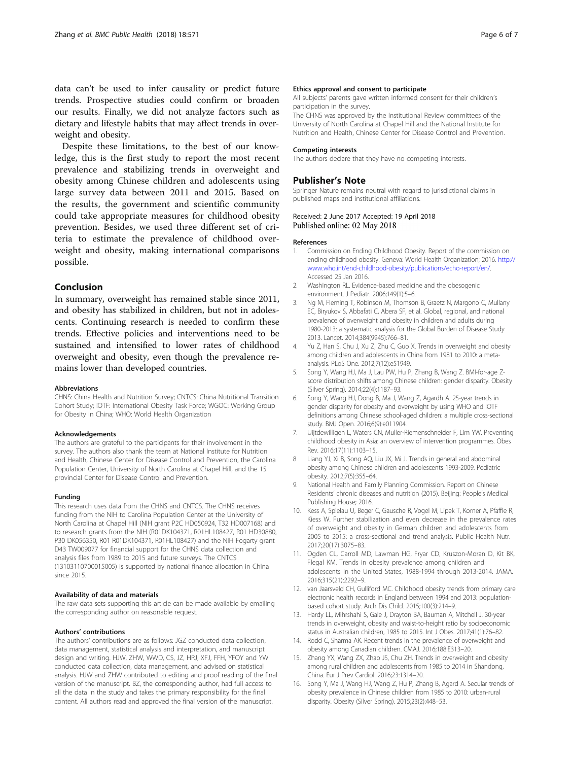<span id="page-5-0"></span>data can't be used to infer causality or predict future trends. Prospective studies could confirm or broaden our results. Finally, we did not analyze factors such as dietary and lifestyle habits that may affect trends in overweight and obesity.

Despite these limitations, to the best of our knowledge, this is the first study to report the most recent prevalence and stabilizing trends in overweight and obesity among Chinese children and adolescents using large survey data between 2011 and 2015. Based on the results, the government and scientific community could take appropriate measures for childhood obesity prevention. Besides, we used three different set of criteria to estimate the prevalence of childhood overweight and obesity, making international comparisons possible.

# Conclusion

In summary, overweight has remained stable since 2011, and obesity has stabilized in children, but not in adolescents. Continuing research is needed to confirm these trends. Effective policies and interventions need to be sustained and intensified to lower rates of childhood overweight and obesity, even though the prevalence remains lower than developed countries.

# Abbreviations

CHNS: China Health and Nutrition Survey; CNTCS: China Nutritional Transition Cohort Study; IOTF: International Obesity Task Force; WGOC: Working Group for Obesity in China; WHO: World Health Organization

# Acknowledgements

The authors are grateful to the participants for their involvement in the survey. The authors also thank the team at National Institute for Nutrition and Health, Chinese Center for Disease Control and Prevention, the Carolina Population Center, University of North Carolina at Chapel Hill, and the 15 provincial Center for Disease Control and Prevention.

# Funding

This research uses data from the CHNS and CNTCS. The CHNS receives funding from the NIH to Carolina Population Center at the University of North Carolina at Chapel Hill (NIH grant P2C HD050924, T32 HD007168) and to research grants from the NIH (R01DK104371, R01HL108427, R01 HD30880, P30 DK056350, R01 R01DK104371, R01HL108427) and the NIH Fogarty grant D43 TW009077 for financial support for the CHNS data collection and analysis files from 1989 to 2015 and future surveys. The CNTCS (13103110700015005) is supported by national finance allocation in China since 2015.

#### Availability of data and materials

The raw data sets supporting this article can be made available by emailing the corresponding author on reasonable request.

# Authors' contributions

The authors' contributions are as follows: JGZ conducted data collection, data management, statistical analysis and interpretation, and manuscript design and writing. HJW, ZHW, WWD, CS, JZ, HRJ, XFJ, FFH, YFOY and YW conducted data collection, data management, and advised on statistical analysis. HJW and ZHW contributed to editing and proof reading of the final version of the manuscript. BZ, the corresponding author, had full access to all the data in the study and takes the primary responsibility for the final content. All authors read and approved the final version of the manuscript.

### Ethics approval and consent to participate

All subjects' parents gave written informed consent for their children's participation in the survey.

The CHNS was approved by the Institutional Review committees of the University of North Carolina at Chapel Hill and the National Institute for Nutrition and Health, Chinese Center for Disease Control and Prevention.

# Competing interests

The authors declare that they have no competing interests.

# Publisher's Note

Springer Nature remains neutral with regard to jurisdictional claims in published maps and institutional affiliations.

# Received: 2 June 2017 Accepted: 19 April 2018 Published online: 02 May 2018

#### References

- 1. Commission on Ending Childhood Obesity. Report of the commission on ending childhood obesity. Geneva: World Health Organization; 2016. [http://](http://www.who.int/end-childhood-obesity/publications/echo-report/en/) [www.who.int/end-childhood-obesity/publications/echo-report/en/.](http://www.who.int/end-childhood-obesity/publications/echo-report/en/) Accessed 25 Jan 2016.
- 2. Washington RL. Evidence-based medicine and the obesogenic environment. J Pediatr. 2006;149(1):5–6.
- 3. Ng M, Fleming T, Robinson M, Thomson B, Graetz N, Margono C, Mullany EC, Biryukov S, Abbafati C, Abera SF, et al. Global, regional, and national prevalence of overweight and obesity in children and adults during 1980-2013: a systematic analysis for the Global Burden of Disease Study 2013. Lancet. 2014;384(9945):766–81.
- 4. Yu Z, Han S, Chu J, Xu Z, Zhu C, Guo X. Trends in overweight and obesity among children and adolescents in China from 1981 to 2010: a metaanalysis. PLoS One. 2012;7(12):e51949.
- 5. Song Y, Wang HJ, Ma J, Lau PW, Hu P, Zhang B, Wang Z. BMI-for-age Zscore distribution shifts among Chinese children: gender disparity. Obesity (Silver Spring). 2014;22(4):1187–93.
- 6. Song Y, Wang HJ, Dong B, Ma J, Wang Z, Agardh A. 25-year trends in gender disparity for obesity and overweight by using WHO and IOTF definitions among Chinese school-aged children: a multiple cross-sectional study. BMJ Open. 2016;6(9):e011904.
- 7. Uijtdewilligen L, Waters CN, Muller-Riemenschneider F, Lim YW. Preventing childhood obesity in Asia: an overview of intervention programmes. Obes Rev. 2016;17(11):1103–15.
- 8. Liang YJ, Xi B, Song AQ, Liu JX, Mi J. Trends in general and abdominal obesity among Chinese children and adolescents 1993-2009. Pediatric obesity. 2012;7(5):355–64.
- 9. National Health and Family Planning Commission. Report on Chinese Residents' chronic diseases and nutrition (2015). Beijing: People's Medical Publishing House; 2016.
- 10. Kess A, Spielau U, Beger C, Gausche R, Vogel M, Lipek T, Korner A, Pfaffle R, Kiess W. Further stabilization and even decrease in the prevalence rates of overweight and obesity in German children and adolescents from 2005 to 2015: a cross-sectional and trend analysis. Public Health Nutr. 2017;20(17):3075–83.
- 11. Ogden CL, Carroll MD, Lawman HG, Fryar CD, Kruszon-Moran D, Kit BK, Flegal KM. Trends in obesity prevalence among children and adolescents in the United States, 1988-1994 through 2013-2014. JAMA. 2016;315(21):2292–9.
- 12. van Jaarsveld CH, Gulliford MC. Childhood obesity trends from primary care electronic health records in England between 1994 and 2013: populationbased cohort study. Arch Dis Child. 2015;100(3):214–9.
- 13. Hardy LL, Mihrshahi S, Gale J, Drayton BA, Bauman A, Mitchell J. 30-year trends in overweight, obesity and waist-to-height ratio by socioeconomic status in Australian children, 1985 to 2015. Int J Obes. 2017;41(1):76–82.
- 14. Rodd C, Sharma AK. Recent trends in the prevalence of overweight and obesity among Canadian children. CMAJ. 2016;188:E313–20.
- 15. Zhang YX, Wang ZX, Zhao JS, Chu ZH. Trends in overweight and obesity among rural children and adolescents from 1985 to 2014 in Shandong, China. Eur J Prev Cardiol. 2016;23:1314–20.
- 16. Song Y, Ma J, Wang HJ, Wang Z, Hu P, Zhang B, Agard A. Secular trends of obesity prevalence in Chinese children from 1985 to 2010: urban-rural disparity. Obesity (Silver Spring). 2015;23(2):448–53.